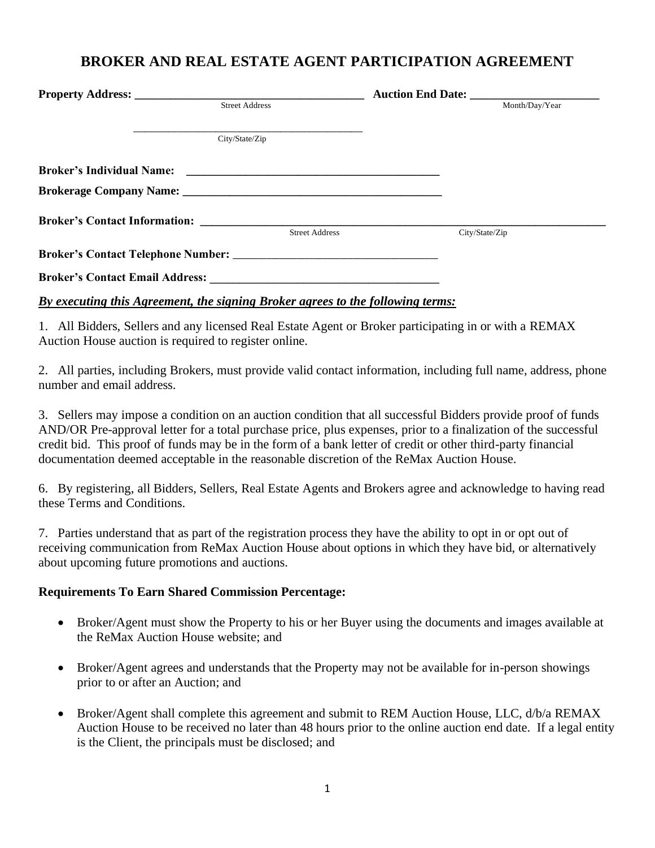## **BROKER AND REAL ESTATE AGENT PARTICIPATION AGREEMENT**

|                       | Auction End Date: |
|-----------------------|-------------------|
| <b>Street Address</b> | Month/Day/Year    |
| City/State/Zip        |                   |
|                       |                   |
|                       |                   |
|                       |                   |
| <b>Street Address</b> | City/State/Zip    |
|                       |                   |
|                       |                   |

## *By executing this Agreement, the signing Broker agrees to the following terms:*

1. All Bidders, Sellers and any licensed Real Estate Agent or Broker participating in or with a REMAX Auction House auction is required to register online.

2. All parties, including Brokers, must provide valid contact information, including full name, address, phone number and email address.

3. Sellers may impose a condition on an auction condition that all successful Bidders provide proof of funds AND/OR Pre-approval letter for a total purchase price, plus expenses, prior to a finalization of the successful credit bid. This proof of funds may be in the form of a bank letter of credit or other third-party financial documentation deemed acceptable in the reasonable discretion of the ReMax Auction House.

6. By registering, all Bidders, Sellers, Real Estate Agents and Brokers agree and acknowledge to having read these Terms and Conditions.

7. Parties understand that as part of the registration process they have the ability to opt in or opt out of receiving communication from ReMax Auction House about options in which they have bid, or alternatively about upcoming future promotions and auctions.

## **Requirements To Earn Shared Commission Percentage:**

- Broker/Agent must show the Property to his or her Buyer using the documents and images available at the ReMax Auction House website; and
- Broker/Agent agrees and understands that the Property may not be available for in-person showings prior to or after an Auction; and
- Broker/Agent shall complete this agreement and submit to REM Auction House, LLC, d/b/a REMAX Auction House to be received no later than 48 hours prior to the online auction end date. If a legal entity is the Client, the principals must be disclosed; and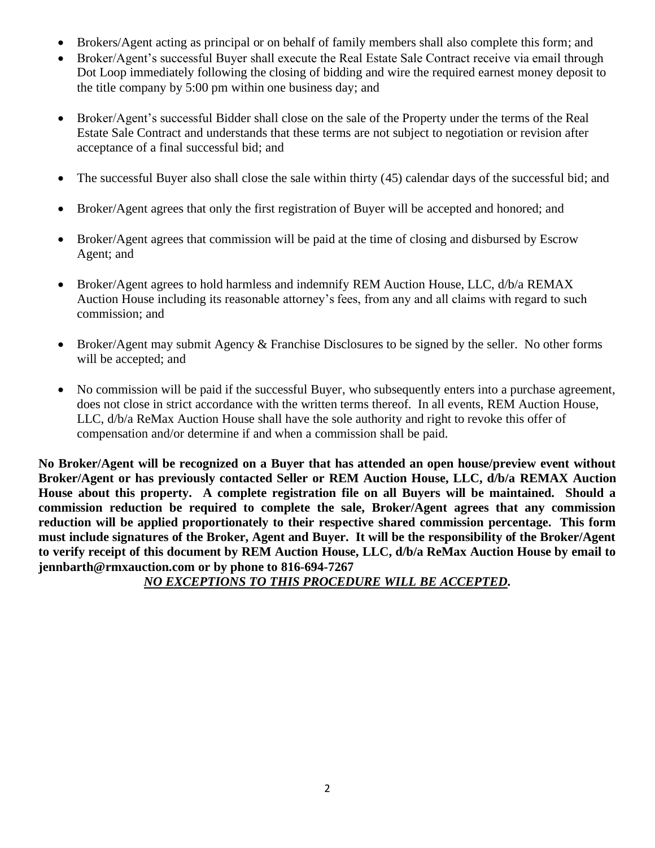- Brokers/Agent acting as principal or on behalf of family members shall also complete this form; and
- Broker/Agent's successful Buyer shall execute the Real Estate Sale Contract receive via email through Dot Loop immediately following the closing of bidding and wire the required earnest money deposit to the title company by 5:00 pm within one business day; and
- Broker/Agent's successful Bidder shall close on the sale of the Property under the terms of the Real Estate Sale Contract and understands that these terms are not subject to negotiation or revision after acceptance of a final successful bid; and
- The successful Buyer also shall close the sale within thirty (45) calendar days of the successful bid; and
- Broker/Agent agrees that only the first registration of Buyer will be accepted and honored; and
- Broker/Agent agrees that commission will be paid at the time of closing and disbursed by Escrow Agent; and
- Broker/Agent agrees to hold harmless and indemnify REM Auction House, LLC, d/b/a REMAX Auction House including its reasonable attorney's fees, from any and all claims with regard to such commission; and
- Broker/Agent may submit Agency & Franchise Disclosures to be signed by the seller. No other forms will be accepted; and
- No commission will be paid if the successful Buyer, who subsequently enters into a purchase agreement, does not close in strict accordance with the written terms thereof. In all events, REM Auction House, LLC, d/b/a ReMax Auction House shall have the sole authority and right to revoke this offer of compensation and/or determine if and when a commission shall be paid.

**No Broker/Agent will be recognized on a Buyer that has attended an open house/preview event without Broker/Agent or has previously contacted Seller or REM Auction House, LLC, d/b/a REMAX Auction House about this property. A complete registration file on all Buyers will be maintained. Should a commission reduction be required to complete the sale, Broker/Agent agrees that any commission reduction will be applied proportionately to their respective shared commission percentage. This form must include signatures of the Broker, Agent and Buyer. It will be the responsibility of the Broker/Agent to verify receipt of this document by REM Auction House, LLC, d/b/a ReMax Auction House by email to jennbarth@rmxauction.com or by phone to 816-694-7267**

*NO EXCEPTIONS TO THIS PROCEDURE WILL BE ACCEPTED.*